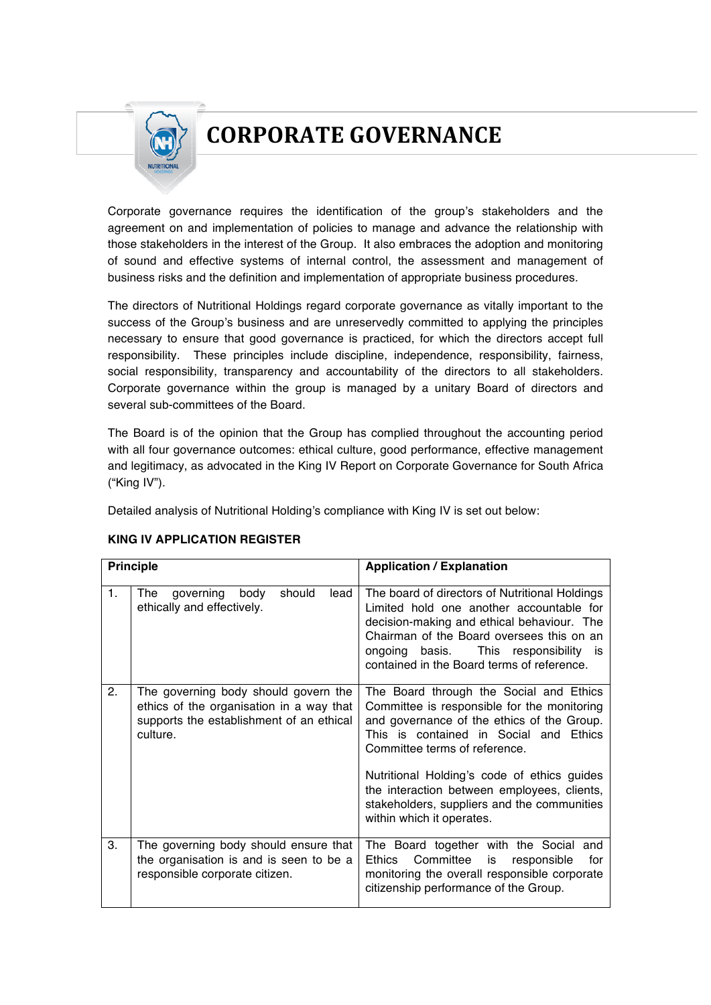## **CORPORATE GOVERNANCE**

Corporate governance requires the identification of the group's stakeholders and the agreement on and implementation of policies to manage and advance the relationship with those stakeholders in the interest of the Group. It also embraces the adoption and monitoring of sound and effective systems of internal control, the assessment and management of business risks and the definition and implementation of appropriate business procedures.

The directors of Nutritional Holdings regard corporate governance as vitally important to the success of the Group's business and are unreservedly committed to applying the principles necessary to ensure that good governance is practiced, for which the directors accept full responsibility. These principles include discipline, independence, responsibility, fairness, social responsibility, transparency and accountability of the directors to all stakeholders. Corporate governance within the group is managed by a unitary Board of directors and several sub-committees of the Board.

The Board is of the opinion that the Group has complied throughout the accounting period with all four governance outcomes: ethical culture, good performance, effective management and legitimacy, as advocated in the King IV Report on Corporate Governance for South Africa ("King IV").

Detailed analysis of Nutritional Holding's compliance with King IV is set out below:

| <b>Principle</b> |                                                                                                                                          | <b>Application / Explanation</b>                                                                                                                                                                                                                                                                                                                                                          |
|------------------|------------------------------------------------------------------------------------------------------------------------------------------|-------------------------------------------------------------------------------------------------------------------------------------------------------------------------------------------------------------------------------------------------------------------------------------------------------------------------------------------------------------------------------------------|
| 1.               | governing<br>body<br>should<br>lead<br>The<br>ethically and effectively.                                                                 | The board of directors of Nutritional Holdings<br>Limited hold one another accountable for<br>decision-making and ethical behaviour. The<br>Chairman of the Board oversees this on an<br>ongoing basis. This responsibility is<br>contained in the Board terms of reference.                                                                                                              |
| 2.               | The governing body should govern the<br>ethics of the organisation in a way that<br>supports the establishment of an ethical<br>culture. | The Board through the Social and Ethics<br>Committee is responsible for the monitoring<br>and governance of the ethics of the Group.<br>This is contained in Social and Ethics<br>Committee terms of reference.<br>Nutritional Holding's code of ethics guides<br>the interaction between employees, clients,<br>stakeholders, suppliers and the communities<br>within which it operates. |
| 3.               | The governing body should ensure that<br>the organisation is and is seen to be a<br>responsible corporate citizen.                       | The Board together with the Social and<br>Committee<br>for<br>Ethics<br>is<br>responsible<br>monitoring the overall responsible corporate<br>citizenship performance of the Group.                                                                                                                                                                                                        |

## **KING IV APPLICATION REGISTER**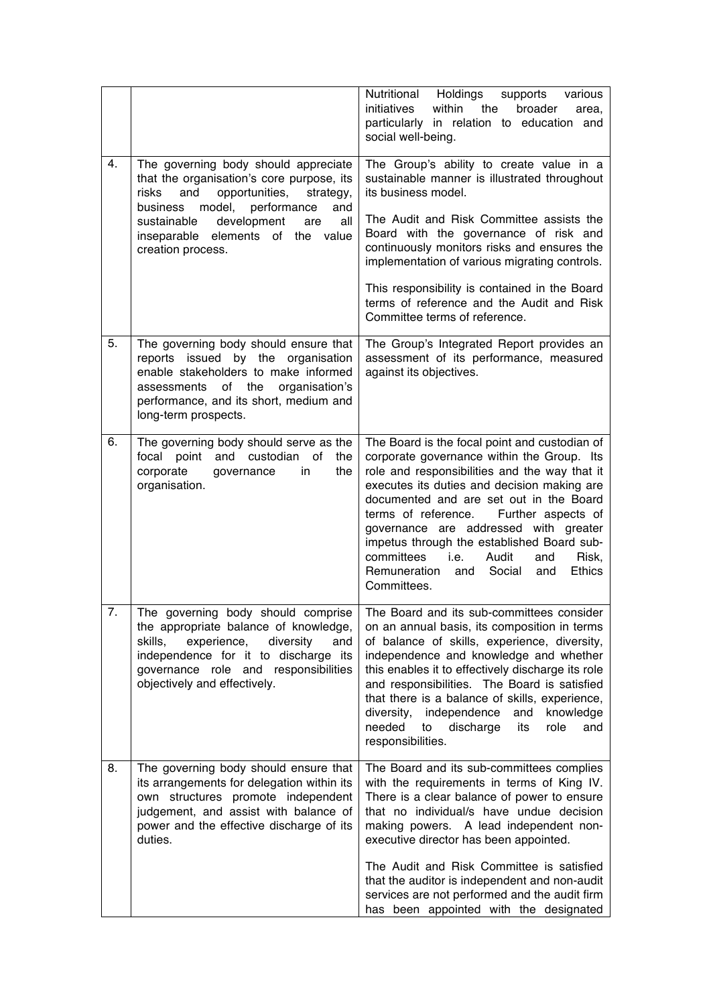|    |                                                                                                                                                                                                                                                                                       | Nutritional Holdings<br>supports<br>various<br>within<br>initiatives<br>the<br>broader<br>area,<br>particularly in relation to education and<br>social well-being.                                                                                                                                                                                                                                                                                                                                |
|----|---------------------------------------------------------------------------------------------------------------------------------------------------------------------------------------------------------------------------------------------------------------------------------------|---------------------------------------------------------------------------------------------------------------------------------------------------------------------------------------------------------------------------------------------------------------------------------------------------------------------------------------------------------------------------------------------------------------------------------------------------------------------------------------------------|
| 4. | The governing body should appreciate<br>that the organisation's core purpose, its<br>and<br>opportunities,<br>risks<br>strategy,<br>model,<br>performance<br>business<br>and<br>sustainable<br>development<br>all<br>are<br>inseparable elements of<br>the value<br>creation process. | The Group's ability to create value in a<br>sustainable manner is illustrated throughout<br>its business model.<br>The Audit and Risk Committee assists the<br>Board with the governance of risk and<br>continuously monitors risks and ensures the<br>implementation of various migrating controls.                                                                                                                                                                                              |
|    |                                                                                                                                                                                                                                                                                       | This responsibility is contained in the Board<br>terms of reference and the Audit and Risk<br>Committee terms of reference.                                                                                                                                                                                                                                                                                                                                                                       |
| 5. | The governing body should ensure that<br>issued by the<br>reports<br>organisation<br>enable stakeholders to make informed<br>assessments<br>of<br>the<br>organisation's<br>performance, and its short, medium and<br>long-term prospects.                                             | The Group's Integrated Report provides an<br>assessment of its performance, measured<br>against its objectives.                                                                                                                                                                                                                                                                                                                                                                                   |
| 6. | The governing body should serve as the<br>focal point<br>and<br>custodian<br>of<br>the<br>corporate<br>in<br>the<br>governance<br>organisation.                                                                                                                                       | The Board is the focal point and custodian of<br>corporate governance within the Group. Its<br>role and responsibilities and the way that it<br>executes its duties and decision making are<br>documented and are set out in the Board<br>terms of reference.<br>Further aspects of<br>governance are addressed with greater<br>impetus through the established Board sub-<br>committees<br>i.e.<br>Audit<br>and<br>Risk,<br>Remuneration<br>Social<br><b>Ethics</b><br>and<br>and<br>Committees. |
| 7. | The governing body should comprise<br>the appropriate balance of knowledge,<br>skills,<br>experience,<br>diversity<br>and<br>independence for it to discharge its<br>governance role and responsibilities<br>objectively and effectively.                                             | The Board and its sub-committees consider<br>on an annual basis, its composition in terms<br>of balance of skills, experience, diversity,<br>independence and knowledge and whether<br>this enables it to effectively discharge its role<br>and responsibilities. The Board is satisfied<br>that there is a balance of skills, experience,<br>diversity,<br>independence<br>and<br>knowledge<br>needed<br>to<br>discharge<br>role<br>its<br>and<br>responsibilities.                              |
| 8. | The governing body should ensure that<br>its arrangements for delegation within its<br>own structures promote independent<br>judgement, and assist with balance of<br>power and the effective discharge of its<br>duties.                                                             | The Board and its sub-committees complies<br>with the requirements in terms of King IV.<br>There is a clear balance of power to ensure<br>that no individual/s have undue decision<br>making powers. A lead independent non-<br>executive director has been appointed.                                                                                                                                                                                                                            |
|    |                                                                                                                                                                                                                                                                                       | The Audit and Risk Committee is satisfied<br>that the auditor is independent and non-audit<br>services are not performed and the audit firm<br>has been appointed with the designated                                                                                                                                                                                                                                                                                                             |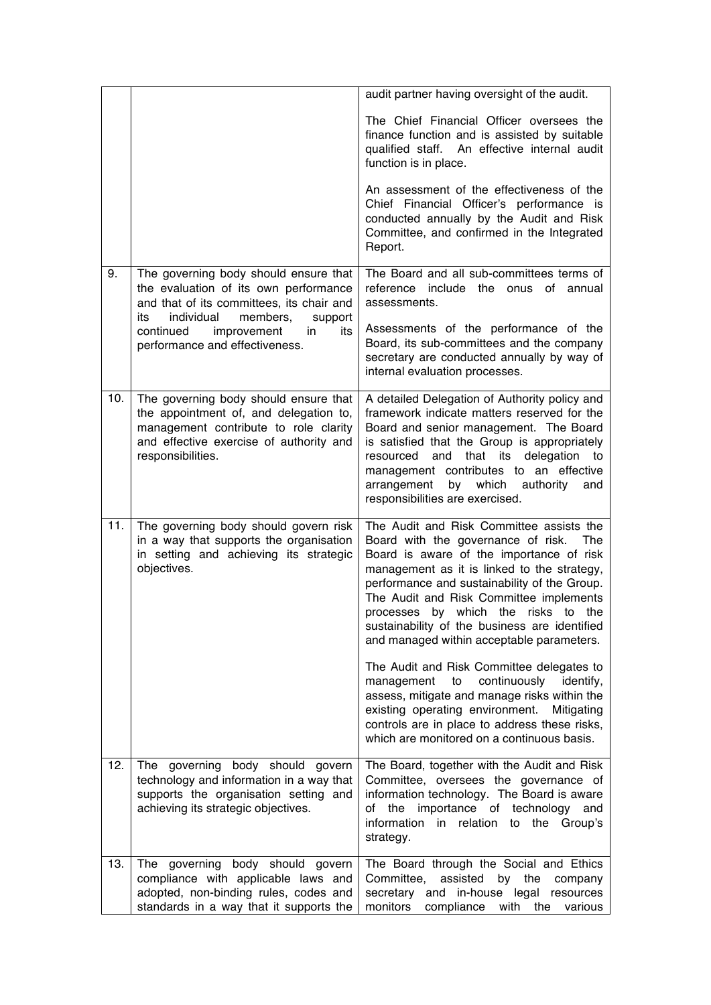|     |                                                                                                                                                                                          | audit partner having oversight of the audit.                                                                                                                                                                                                                                                                                                                                                                                                                                                                                                                                                                                                                                                                      |
|-----|------------------------------------------------------------------------------------------------------------------------------------------------------------------------------------------|-------------------------------------------------------------------------------------------------------------------------------------------------------------------------------------------------------------------------------------------------------------------------------------------------------------------------------------------------------------------------------------------------------------------------------------------------------------------------------------------------------------------------------------------------------------------------------------------------------------------------------------------------------------------------------------------------------------------|
|     |                                                                                                                                                                                          | The Chief Financial Officer oversees the<br>finance function and is assisted by suitable<br>An effective internal audit<br>qualified staff.<br>function is in place.                                                                                                                                                                                                                                                                                                                                                                                                                                                                                                                                              |
|     |                                                                                                                                                                                          | An assessment of the effectiveness of the<br>Chief Financial Officer's performance is<br>conducted annually by the Audit and Risk<br>Committee, and confirmed in the Integrated<br>Report.                                                                                                                                                                                                                                                                                                                                                                                                                                                                                                                        |
| 9.  | The governing body should ensure that<br>the evaluation of its own performance<br>and that of its committees, its chair and                                                              | The Board and all sub-committees terms of<br>include the onus of<br>reference<br>annual<br>assessments.                                                                                                                                                                                                                                                                                                                                                                                                                                                                                                                                                                                                           |
|     | individual<br>members,<br>its<br>support<br>continued<br>improvement<br>in<br>its<br>performance and effectiveness.                                                                      | Assessments of the performance of the<br>Board, its sub-committees and the company<br>secretary are conducted annually by way of<br>internal evaluation processes.                                                                                                                                                                                                                                                                                                                                                                                                                                                                                                                                                |
| 10. | The governing body should ensure that<br>the appointment of, and delegation to,<br>management contribute to role clarity<br>and effective exercise of authority and<br>responsibilities. | A detailed Delegation of Authority policy and<br>framework indicate matters reserved for the<br>Board and senior management. The Board<br>is satisfied that the Group is appropriately<br>and that its<br>delegation to<br>resourced<br>management contributes to an effective<br>by<br>which<br>arrangement<br>authority<br>and<br>responsibilities are exercised.                                                                                                                                                                                                                                                                                                                                               |
| 11. | The governing body should govern risk<br>in a way that supports the organisation<br>in setting and achieving its strategic<br>objectives.                                                | The Audit and Risk Committee assists the<br>Board with the governance of risk.<br>The<br>Board is aware of the importance of risk<br>management as it is linked to the strategy,<br>performance and sustainability of the Group.<br>The Audit and Risk Committee implements<br>by which the risks to the<br>processes<br>sustainability of the business are identified<br>and managed within acceptable parameters.<br>The Audit and Risk Committee delegates to<br>continuously<br>management<br>to<br>identify,<br>assess, mitigate and manage risks within the<br>existing operating environment.<br>Mitigating<br>controls are in place to address these risks,<br>which are monitored on a continuous basis. |
| 12. | body should<br>The governing<br>govern<br>technology and information in a way that<br>supports the organisation setting and<br>achieving its strategic objectives.                       | The Board, together with the Audit and Risk<br>Committee, oversees the governance of<br>information technology. The Board is aware<br>importance of technology<br>the<br>of<br>and<br>information<br>in relation to the Group's<br>strategy.                                                                                                                                                                                                                                                                                                                                                                                                                                                                      |
| 13. | The governing body should govern<br>compliance with applicable laws and<br>adopted, non-binding rules, codes and<br>standards in a way that it supports the                              | The Board through the Social and Ethics<br>Committee,<br>assisted<br>by<br>the<br>company<br>secretary and in-house legal resources<br>with<br>monitors<br>compliance<br>the<br>various                                                                                                                                                                                                                                                                                                                                                                                                                                                                                                                           |